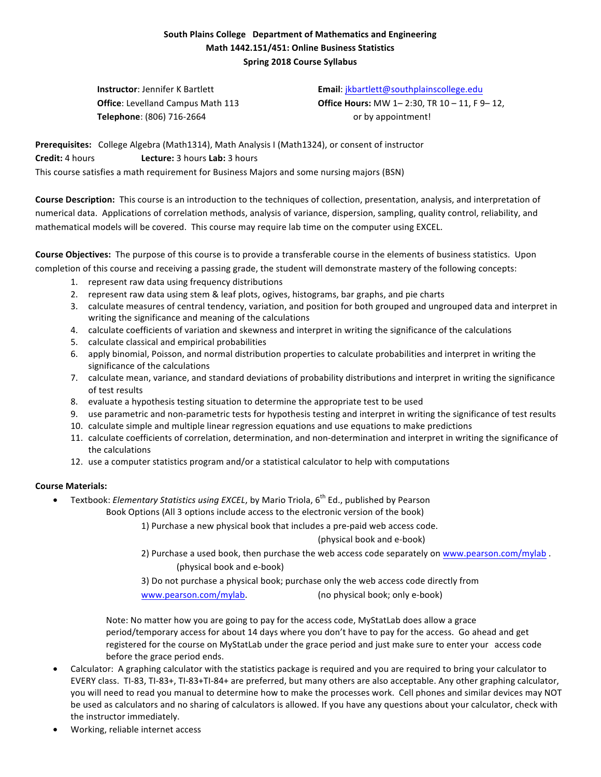## **South Plains College Department of Mathematics and Engineering Math 1442.151/451: Online Business Statistics Spring 2018 Course Syllabus**

**Telephone**: (806) 716-2664 or by appointment!

**Instructor**: Jennifer K Bartlett **Email:** ikbartlett@southplainscollege.edu **Office**: Levelland Campus Math 113 **Office Hours:** MW 1-2:30, TR 10 - 11, F 9-12,

Prerequisites: College Algebra (Math1314), Math Analysis I (Math1324), or consent of instructor **Credit:** 4 hours **Lecture:** 3 hours **Lab:** 3 hours This course satisfies a math requirement for Business Majors and some nursing majors (BSN)

**Course Description:** This course is an introduction to the techniques of collection, presentation, analysis, and interpretation of numerical data. Applications of correlation methods, analysis of variance, dispersion, sampling, quality control, reliability, and mathematical models will be covered. This course may require lab time on the computer using EXCEL.

**Course Objectives:** The purpose of this course is to provide a transferable course in the elements of business statistics. Upon completion of this course and receiving a passing grade, the student will demonstrate mastery of the following concepts:

- 1. represent raw data using frequency distributions
- 2. represent raw data using stem & leaf plots, ogives, histograms, bar graphs, and pie charts
- 3. calculate measures of central tendency, variation, and position for both grouped and ungrouped data and interpret in writing the significance and meaning of the calculations
- 4. calculate coefficients of variation and skewness and interpret in writing the significance of the calculations
- 5. calculate classical and empirical probabilities
- 6. apply binomial, Poisson, and normal distribution properties to calculate probabilities and interpret in writing the significance of the calculations
- 7. calculate mean, variance, and standard deviations of probability distributions and interpret in writing the significance of test results
- 8. evaluate a hypothesis testing situation to determine the appropriate test to be used
- 9. use parametric and non-parametric tests for hypothesis testing and interpret in writing the significance of test results
- 10. calculate simple and multiple linear regression equations and use equations to make predictions
- 11. calculate coefficients of correlation, determination, and non-determination and interpret in writing the significance of the calculations
- 12. use a computer statistics program and/or a statistical calculator to help with computations

## **Course Materials:**

Textbook: *Elementary Statistics using EXCEL*, by Mario Triola, 6<sup>th</sup> Ed., published by Pearson

Book Options (All 3 options include access to the electronic version of the book)

1) Purchase a new physical book that includes a pre-paid web access code.

(physical book and e-book)

2) Purchase a used book, then purchase the web access code separately on www.pearson.com/mylab . (physical book and e-book)

3) Do not purchase a physical book; purchase only the web access code directly from www.pearson.com/mylab. (no physical book; only e-book)

Note: No matter how you are going to pay for the access code, MyStatLab does allow a grace period/temporary access for about 14 days where you don't have to pay for the access. Go ahead and get registered for the course on MyStatLab under the grace period and just make sure to enter your access code before the grace period ends.

- Calculator: A graphing calculator with the statistics package is required and you are required to bring your calculator to EVERY class. TI-83, TI-83+, TI-83+TI-84+ are preferred, but many others are also acceptable. Any other graphing calculator, you will need to read you manual to determine how to make the processes work. Cell phones and similar devices may NOT be used as calculators and no sharing of calculators is allowed. If you have any questions about your calculator, check with the instructor immediately.
- Working, reliable internet access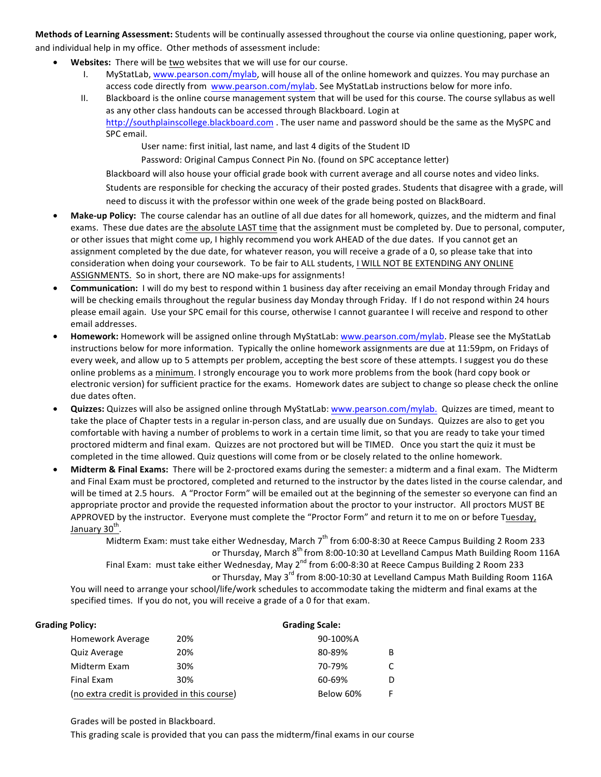Methods of Learning Assessment: Students will be continually assessed throughout the course via online questioning, paper work, and individual help in my office. Other methods of assessment include:

- **Websites:** There will be two websites that we will use for our course.
	- I. MyStatLab, www.pearson.com/mylab, will house all of the online homework and quizzes. You may purchase an access code directly from www.pearson.com/mylab. See MyStatLab instructions below for more info.
	- II. Blackboard is the online course management system that will be used for this course. The course syllabus as well as any other class handouts can be accessed through Blackboard. Login at http://southplainscollege.blackboard.com . The user name and password should be the same as the MySPC and SPC email.

User name: first initial, last name, and last 4 digits of the Student ID

Password: Original Campus Connect Pin No. (found on SPC acceptance letter)

Blackboard will also house your official grade book with current average and all course notes and video links. Students are responsible for checking the accuracy of their posted grades. Students that disagree with a grade, will

need to discuss it with the professor within one week of the grade being posted on BlackBoard.

- Make-up Policy: The course calendar has an outline of all due dates for all homework, quizzes, and the midterm and final exams. These due dates are the absolute LAST time that the assignment must be completed by. Due to personal, computer, or other issues that might come up, I highly recommend you work AHEAD of the due dates. If you cannot get an assignment completed by the due date, for whatever reason, you will receive a grade of a 0, so please take that into consideration when doing your coursework. To be fair to ALL students, I WILL NOT BE EXTENDING ANY ONLINE ASSIGNMENTS. So in short, there are NO make-ups for assignments!
- **Communication:** I will do my best to respond within 1 business day after receiving an email Monday through Friday and will be checking emails throughout the regular business day Monday through Friday. If I do not respond within 24 hours please email again. Use your SPC email for this course, otherwise I cannot guarantee I will receive and respond to other email addresses.
- Homework: Homework will be assigned online through MyStatLab: www.pearson.com/mylab. Please see the MyStatLab instructions below for more information. Typically the online homework assignments are due at 11:59pm, on Fridays of every week, and allow up to 5 attempts per problem, accepting the best score of these attempts. I suggest you do these online problems as a minimum. I strongly encourage you to work more problems from the book (hard copy book or electronic version) for sufficient practice for the exams. Homework dates are subject to change so please check the online due dates often.
- Quizzes: Quizzes will also be assigned online through MyStatLab: www.pearson.com/mylab. Quizzes are timed, meant to take the place of Chapter tests in a regular in-person class, and are usually due on Sundays. Quizzes are also to get you comfortable with having a number of problems to work in a certain time limit, so that you are ready to take your timed proctored midterm and final exam. Quizzes are not proctored but will be TIMED. Once you start the quiz it must be completed in the time allowed. Quiz questions will come from or be closely related to the online homework.
- Midterm & Final Exams: There will be 2-proctored exams during the semester: a midterm and a final exam. The Midterm and Final Exam must be proctored, completed and returned to the instructor by the dates listed in the course calendar, and will be timed at 2.5 hours. A "Proctor Form" will be emailed out at the beginning of the semester so everyone can find an appropriate proctor and provide the requested information about the proctor to your instructor. All proctors MUST BE APPROVED by the instructor. Everyone must complete the "Proctor Form" and return it to me on or before Tuesday, January 30<sup>th</sup>.

Midterm Exam: must take either Wednesday, March  $7<sup>th</sup>$  from 6:00-8:30 at Reece Campus Building 2 Room 233 or Thursday, March 8<sup>th</sup> from 8:00-10:30 at Levelland Campus Math Building Room 116A Final Exam: must take either Wednesday, May 2<sup>nd</sup> from 6:00-8:30 at Reece Campus Building 2 Room 233 or Thursday, May 3<sup>rd</sup> from 8:00-10:30 at Levelland Campus Math Building Room 116A

You will need to arrange your school/life/work schedules to accommodate taking the midterm and final exams at the specified times. If you do not, you will receive a grade of a 0 for that exam.

| <b>Grading Policy:</b>                       |     | <b>Grading Scale:</b> |    |
|----------------------------------------------|-----|-----------------------|----|
| <b>Homework Average</b>                      | 20% | 90-100%A              |    |
| <b>Quiz Average</b>                          | 20% | 80-89%                | B  |
| Midterm Exam                                 | 30% | 70-79%                | C  |
| <b>Final Exam</b>                            | 30% | 60-69%                | D  |
| (no extra credit is provided in this course) |     | Below 60%             | F. |

Grades will be posted in Blackboard.

This grading scale is provided that you can pass the midterm/final exams in our course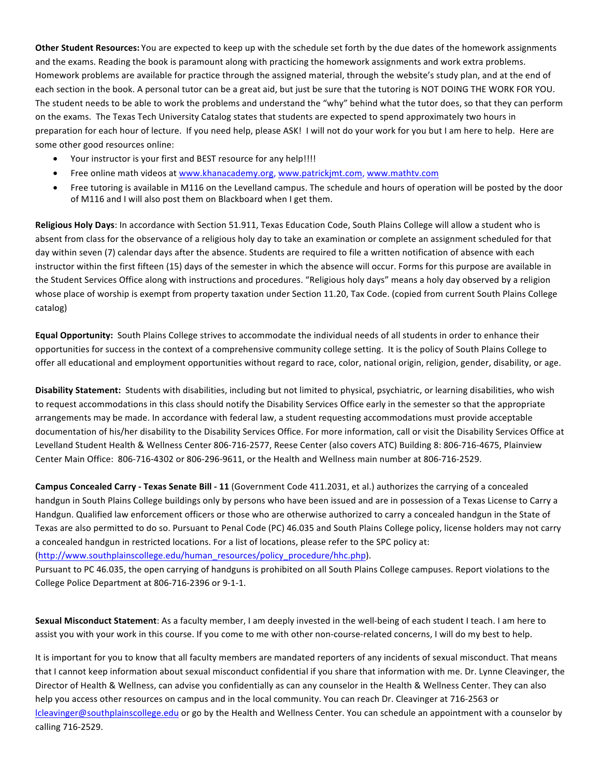Other Student Resources: You are expected to keep up with the schedule set forth by the due dates of the homework assignments and the exams. Reading the book is paramount along with practicing the homework assignments and work extra problems. Homework problems are available for practice through the assigned material, through the website's study plan, and at the end of each section in the book. A personal tutor can be a great aid, but just be sure that the tutoring is NOT DOING THE WORK FOR YOU. The student needs to be able to work the problems and understand the "why" behind what the tutor does, so that they can perform on the exams. The Texas Tech University Catalog states that students are expected to spend approximately two hours in preparation for each hour of lecture. If you need help, please ASK! I will not do your work for you but I am here to help. Here are some other good resources online:

- Your instructor is your first and BEST resource for any help!!!!
- Free online math videos at www.khanacademy.org, www.patrickjmt.com, www.mathtv.com
- Free tutoring is available in M116 on the Levelland campus. The schedule and hours of operation will be posted by the door of M116 and I will also post them on Blackboard when I get them.

**Religious Holy Days**: In accordance with Section 51.911, Texas Education Code, South Plains College will allow a student who is absent from class for the observance of a religious holy day to take an examination or complete an assignment scheduled for that day within seven (7) calendar days after the absence. Students are required to file a written notification of absence with each instructor within the first fifteen (15) days of the semester in which the absence will occur. Forms for this purpose are available in the Student Services Office along with instructions and procedures. "Religious holy days" means a holy day observed by a religion whose place of worship is exempt from property taxation under Section 11.20, Tax Code. (copied from current South Plains College catalog)

Equal Opportunity: South Plains College strives to accommodate the individual needs of all students in order to enhance their opportunities for success in the context of a comprehensive community college setting. It is the policy of South Plains College to offer all educational and employment opportunities without regard to race, color, national origin, religion, gender, disability, or age.

Disability Statement: Students with disabilities, including but not limited to physical, psychiatric, or learning disabilities, who wish to request accommodations in this class should notify the Disability Services Office early in the semester so that the appropriate arrangements may be made. In accordance with federal law, a student requesting accommodations must provide acceptable documentation of his/her disability to the Disability Services Office. For more information, call or visit the Disability Services Office at Levelland Student Health & Wellness Center 806-716-2577, Reese Center (also covers ATC) Building 8: 806-716-4675, Plainview Center Main Office: 806-716-4302 or 806-296-9611, or the Health and Wellness main number at 806-716-2529.

**Campus Concealed Carry - Texas Senate Bill - 11 (Government Code 411.2031, et al.) authorizes the carrying of a concealed** handgun in South Plains College buildings only by persons who have been issued and are in possession of a Texas License to Carry a Handgun. Qualified law enforcement officers or those who are otherwise authorized to carry a concealed handgun in the State of Texas are also permitted to do so. Pursuant to Penal Code (PC) 46.035 and South Plains College policy, license holders may not carry a concealed handgun in restricted locations. For a list of locations, please refer to the SPC policy at: (http://www.southplainscollege.edu/human\_resources/policy\_procedure/hhc.php).

Pursuant to PC 46.035, the open carrying of handguns is prohibited on all South Plains College campuses. Report violations to the College Police Department at 806-716-2396 or 9-1-1.

Sexual Misconduct Statement: As a faculty member, I am deeply invested in the well-being of each student I teach. I am here to assist you with your work in this course. If you come to me with other non-course-related concerns, I will do my best to help.

It is important for you to know that all faculty members are mandated reporters of any incidents of sexual misconduct. That means that I cannot keep information about sexual misconduct confidential if you share that information with me. Dr. Lynne Cleavinger, the Director of Health & Wellness, can advise you confidentially as can any counselor in the Health & Wellness Center. They can also help you access other resources on campus and in the local community. You can reach Dr. Cleavinger at 716-2563 or lcleavinger@southplainscollege.edu or go by the Health and Wellness Center. You can schedule an appointment with a counselor by calling 716-2529.